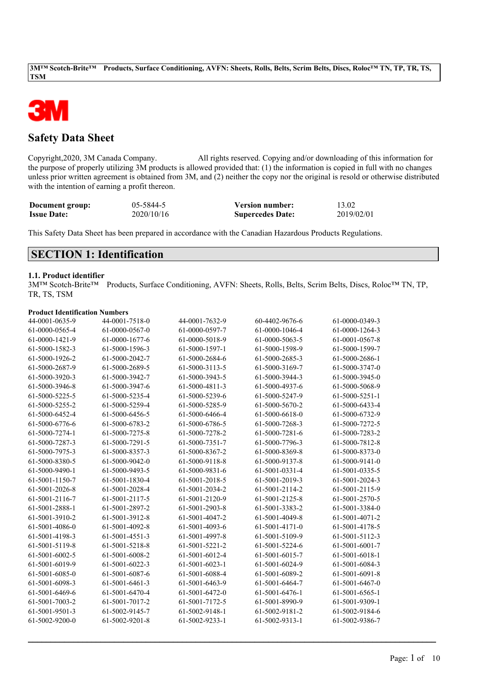

# **Safety Data Sheet**

Copyright,2020, 3M Canada Company. All rights reserved. Copying and/or downloading of this information for the purpose of properly utilizing 3M products is allowed provided that: (1) the information is copied in full with no changes unless prior written agreement is obtained from 3M, and (2) neither the copy nor the original is resold or otherwise distributed with the intention of earning a profit thereon.

| Document group:    | 05-5844-5  | <b>Version number:</b>  | 13.02      |
|--------------------|------------|-------------------------|------------|
| <b>Issue Date:</b> | 2020/10/16 | <b>Supercedes Date:</b> | 2019/02/01 |

This Safety Data Sheet has been prepared in accordance with the Canadian Hazardous Products Regulations.

## **SECTION 1: Identification**

### **1.1. Product identifier**

3M™ Scotch-Brite™ Products, Surface Conditioning, AVFN: Sheets, Rolls, Belts, Scrim Belts, Discs, Roloc™ TN, TP, TR, TS, TSM

### **Product Identification Numbers**

| 44-0001-0635-9 | 44-0001-7518-0 | 44-0001-7632-9 | 60-4402-9676-6 | 61-0000-0349-3 |
|----------------|----------------|----------------|----------------|----------------|
| 61-0000-0565-4 | 61-0000-0567-0 | 61-0000-0597-7 | 61-0000-1046-4 | 61-0000-1264-3 |
| 61-0000-1421-9 | 61-0000-1677-6 | 61-0000-5018-9 | 61-0000-5063-5 | 61-0001-0567-8 |
| 61-5000-1582-3 | 61-5000-1596-3 | 61-5000-1597-1 | 61-5000-1598-9 | 61-5000-1599-7 |
| 61-5000-1926-2 | 61-5000-2042-7 | 61-5000-2684-6 | 61-5000-2685-3 | 61-5000-2686-1 |
| 61-5000-2687-9 | 61-5000-2689-5 | 61-5000-3113-5 | 61-5000-3169-7 | 61-5000-3747-0 |
| 61-5000-3920-3 | 61-5000-3942-7 | 61-5000-3943-5 | 61-5000-3944-3 | 61-5000-3945-0 |
| 61-5000-3946-8 | 61-5000-3947-6 | 61-5000-4811-3 | 61-5000-4937-6 | 61-5000-5068-9 |
| 61-5000-5225-5 | 61-5000-5235-4 | 61-5000-5239-6 | 61-5000-5247-9 | 61-5000-5251-1 |
| 61-5000-5255-2 | 61-5000-5259-4 | 61-5000-5285-9 | 61-5000-5670-2 | 61-5000-6433-4 |
| 61-5000-6452-4 | 61-5000-6456-5 | 61-5000-6466-4 | 61-5000-6618-0 | 61-5000-6732-9 |
| 61-5000-6776-6 | 61-5000-6783-2 | 61-5000-6786-5 | 61-5000-7268-3 | 61-5000-7272-5 |
| 61-5000-7274-1 | 61-5000-7275-8 | 61-5000-7278-2 | 61-5000-7281-6 | 61-5000-7283-2 |
| 61-5000-7287-3 | 61-5000-7291-5 | 61-5000-7351-7 | 61-5000-7796-3 | 61-5000-7812-8 |
| 61-5000-7975-3 | 61-5000-8357-3 | 61-5000-8367-2 | 61-5000-8369-8 | 61-5000-8373-0 |
| 61-5000-8380-5 | 61-5000-9042-0 | 61-5000-9118-8 | 61-5000-9137-8 | 61-5000-9141-0 |
| 61-5000-9490-1 | 61-5000-9493-5 | 61-5000-9831-6 | 61-5001-0331-4 | 61-5001-0335-5 |
| 61-5001-1150-7 | 61-5001-1830-4 | 61-5001-2018-5 | 61-5001-2019-3 | 61-5001-2024-3 |
| 61-5001-2026-8 | 61-5001-2028-4 | 61-5001-2034-2 | 61-5001-2114-2 | 61-5001-2115-9 |
| 61-5001-2116-7 | 61-5001-2117-5 | 61-5001-2120-9 | 61-5001-2125-8 | 61-5001-2570-5 |
| 61-5001-2888-1 | 61-5001-2897-2 | 61-5001-2903-8 | 61-5001-3383-2 | 61-5001-3384-0 |
| 61-5001-3910-2 | 61-5001-3912-8 | 61-5001-4047-2 | 61-5001-4049-8 | 61-5001-4071-2 |
| 61-5001-4086-0 | 61-5001-4092-8 | 61-5001-4093-6 | 61-5001-4171-0 | 61-5001-4178-5 |
| 61-5001-4198-3 | 61-5001-4551-3 | 61-5001-4997-8 | 61-5001-5109-9 | 61-5001-5112-3 |
| 61-5001-5119-8 | 61-5001-5218-8 | 61-5001-5221-2 | 61-5001-5224-6 | 61-5001-6001-7 |
| 61-5001-6002-5 | 61-5001-6008-2 | 61-5001-6012-4 | 61-5001-6015-7 | 61-5001-6018-1 |
| 61-5001-6019-9 | 61-5001-6022-3 | 61-5001-6023-1 | 61-5001-6024-9 | 61-5001-6084-3 |
| 61-5001-6085-0 | 61-5001-6087-6 | 61-5001-6088-4 | 61-5001-6089-2 | 61-5001-6091-8 |
| 61-5001-6098-3 | 61-5001-6461-3 | 61-5001-6463-9 | 61-5001-6464-7 | 61-5001-6467-0 |
| 61-5001-6469-6 | 61-5001-6470-4 | 61-5001-6472-0 | 61-5001-6476-1 | 61-5001-6565-1 |
| 61-5001-7003-2 | 61-5001-7017-2 | 61-5001-7172-5 | 61-5001-8990-9 | 61-5001-9309-1 |
| 61-5001-9501-3 | 61-5002-9145-7 | 61-5002-9148-1 | 61-5002-9181-2 | 61-5002-9184-6 |
| 61-5002-9200-0 | 61-5002-9201-8 | 61-5002-9233-1 | 61-5002-9313-1 | 61-5002-9386-7 |
|                |                |                |                |                |

 $\mathcal{L}_\mathcal{L} = \mathcal{L}_\mathcal{L} = \mathcal{L}_\mathcal{L} = \mathcal{L}_\mathcal{L} = \mathcal{L}_\mathcal{L} = \mathcal{L}_\mathcal{L} = \mathcal{L}_\mathcal{L} = \mathcal{L}_\mathcal{L} = \mathcal{L}_\mathcal{L} = \mathcal{L}_\mathcal{L} = \mathcal{L}_\mathcal{L} = \mathcal{L}_\mathcal{L} = \mathcal{L}_\mathcal{L} = \mathcal{L}_\mathcal{L} = \mathcal{L}_\mathcal{L} = \mathcal{L}_\mathcal{L} = \mathcal{L}_\mathcal{L}$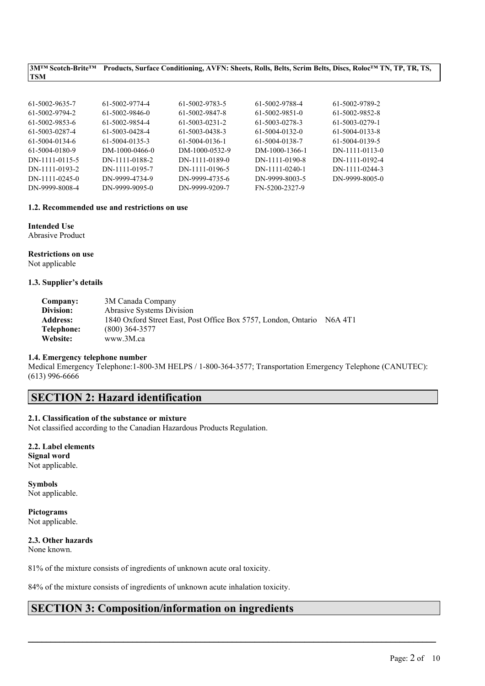3MTM Scotch-Brite<sup>TM</sup> Products, Surface Conditioning, AVFN: Sheets, Rolls, Belts, Scrim Belts, Discs, Roloc<sup>TM</sup> TN, TP, TR, TS, **TSM**

| 61-5002-9635-7   | 61-5002-9774-4 | 61-5002-9783-5 | 61-5002-9788-4   | 61-5002-9789-2 |
|------------------|----------------|----------------|------------------|----------------|
| 61-5002-9794-2   | 61-5002-9846-0 | 61-5002-9847-8 | 61-5002-9851-0   | 61-5002-9852-8 |
| 61-5002-9853-6   | 61-5002-9854-4 | 61-5003-0231-2 | 61-5003-0278-3   | 61-5003-0279-1 |
| 61-5003-0287-4   | 61-5003-0428-4 | 61-5003-0438-3 | 61-5004-0132-0   | 61-5004-0133-8 |
| 61-5004-0134-6   | 61-5004-0135-3 | 61-5004-0136-1 | 61-5004-0138-7   | 61-5004-0139-5 |
| 61-5004-0180-9   | DM-1000-0466-0 | DM-1000-0532-9 | DM-1000-1366-1   | DN-1111-0113-0 |
| DN-1111-0115-5   | DN-1111-0188-2 | DN-1111-0189-0 | DN-1111-0190-8   | DN-1111-0192-4 |
| DN-1111-0193-2   | DN-1111-0195-7 | DN-1111-0196-5 | $DN-1111-0240-1$ | DN-1111-0244-3 |
| $DN-1111-0245-0$ | DN-9999-4734-9 | DN-9999-4735-6 | DN-9999-8003-5   | DN-9999-8005-0 |
| DN-9999-8008-4   | DN-9999-9095-0 | DN-9999-9209-7 | FN-5200-2327-9   |                |
|                  |                |                |                  |                |

### **1.2. Recommended use and restrictions on use**

**Intended Use** Abrasive Product

## **Restrictions on use**

Not applicable

### **1.3. Supplier's details**

| Company:        | 3M Canada Company                                              |                                  |
|-----------------|----------------------------------------------------------------|----------------------------------|
| Division:       | <b>Abrasive Systems Division</b>                               |                                  |
| <b>Address:</b> | 1840 Oxford Street East, Post Office Box 5757, London, Ontario | N <sub>6</sub> A 4T <sub>1</sub> |
| Telephone:      | $(800)$ 364-3577                                               |                                  |
| Website:        | www.3M.ca                                                      |                                  |

### **1.4. Emergency telephone number**

Medical Emergency Telephone:1-800-3M HELPS / 1-800-364-3577; Transportation Emergency Telephone (CANUTEC): (613) 996-6666

 $\mathcal{L}_\mathcal{L} = \mathcal{L}_\mathcal{L} = \mathcal{L}_\mathcal{L} = \mathcal{L}_\mathcal{L} = \mathcal{L}_\mathcal{L} = \mathcal{L}_\mathcal{L} = \mathcal{L}_\mathcal{L} = \mathcal{L}_\mathcal{L} = \mathcal{L}_\mathcal{L} = \mathcal{L}_\mathcal{L} = \mathcal{L}_\mathcal{L} = \mathcal{L}_\mathcal{L} = \mathcal{L}_\mathcal{L} = \mathcal{L}_\mathcal{L} = \mathcal{L}_\mathcal{L} = \mathcal{L}_\mathcal{L} = \mathcal{L}_\mathcal{L}$ 

# **SECTION 2: Hazard identification**

### **2.1. Classification of the substance or mixture**

Not classified according to the Canadian Hazardous Products Regulation.

**2.2. Label elements Signal word** Not applicable.

**Symbols** Not applicable.

**Pictograms** Not applicable.

### **2.3. Other hazards**

None known.

81% of the mixture consists of ingredients of unknown acute oral toxicity.

84% of the mixture consists of ingredients of unknown acute inhalation toxicity.

# **SECTION 3: Composition/information on ingredients**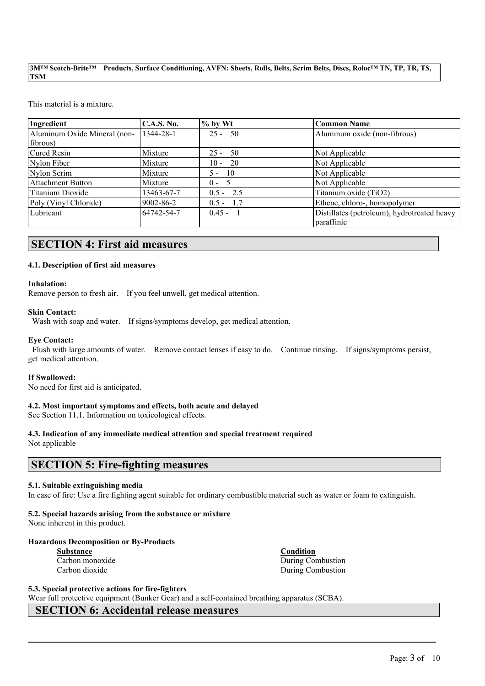This material is a mixture.

| Ingredient                   | C.A.S. No.      | $\frac{9}{6}$ by Wt | Common Name                                 |
|------------------------------|-----------------|---------------------|---------------------------------------------|
| Aluminum Oxide Mineral (non- | 1344-28-1       | $25 -$<br>- 50      | Aluminum oxide (non-fibrous)                |
| fibrous)                     |                 |                     |                                             |
| Cured Resin                  | Mixture         | - 50<br>$25 -$      | Not Applicable                              |
| Nylon Fiber                  | Mixture         | -20<br>$10 -$       | Not Applicable                              |
| Nylon Scrim                  | Mixture         | - 10<br>$5 -$       | Not Applicable                              |
| <b>Attachment Button</b>     | Mixture         | $0 -$               | Not Applicable                              |
| Titanium Dioxide             | 13463-67-7      | $0.5 - 2.5$         | Titanium oxide (TiO2)                       |
| Poly (Vinyl Chloride)        | $9002 - 86 - 2$ | $0.5 - 1.7$         | Ethene, chloro-, homopolymer                |
| Lubricant                    | 64742-54-7      | $0.45 -$            | Distillates (petroleum), hydrotreated heavy |
|                              |                 |                     | paraffinic                                  |

# **SECTION 4: First aid measures**

### **4.1. Description of first aid measures**

### **Inhalation:**

Remove person to fresh air. If you feel unwell, get medical attention.

### **Skin Contact:**

Wash with soap and water. If signs/symptoms develop, get medical attention.

### **Eye Contact:**

Flush with large amounts of water. Remove contact lenses if easy to do. Continue rinsing. If signs/symptoms persist, get medical attention.

### **If Swallowed:**

No need for first aid is anticipated.

### **4.2. Most important symptoms and effects, both acute and delayed**

See Section 11.1. Information on toxicological effects.

# **4.3. Indication of any immediate medical attention and special treatment required**

Not applicable

## **SECTION 5: Fire-fighting measures**

### **5.1. Suitable extinguishing media**

In case of fire: Use a fire fighting agent suitable for ordinary combustible material such as water or foam to extinguish.

 $\mathcal{L}_\mathcal{L} = \mathcal{L}_\mathcal{L} = \mathcal{L}_\mathcal{L} = \mathcal{L}_\mathcal{L} = \mathcal{L}_\mathcal{L} = \mathcal{L}_\mathcal{L} = \mathcal{L}_\mathcal{L} = \mathcal{L}_\mathcal{L} = \mathcal{L}_\mathcal{L} = \mathcal{L}_\mathcal{L} = \mathcal{L}_\mathcal{L} = \mathcal{L}_\mathcal{L} = \mathcal{L}_\mathcal{L} = \mathcal{L}_\mathcal{L} = \mathcal{L}_\mathcal{L} = \mathcal{L}_\mathcal{L} = \mathcal{L}_\mathcal{L}$ 

# **5.2. Special hazards arising from the substance or mixture**

None inherent in this product.

### **Hazardous Decomposition or By-Products**

| <b>Substance</b> |  |  |  |
|------------------|--|--|--|
| Carbon monoxide  |  |  |  |
| Carbon dioxide   |  |  |  |

**Substance Condition** During Combustion During Combustion

**5.3. Special protective actions for fire-fighters**

Wear full protective equipment (Bunker Gear) and a self-contained breathing apparatus (SCBA).

# **SECTION 6: Accidental release measures**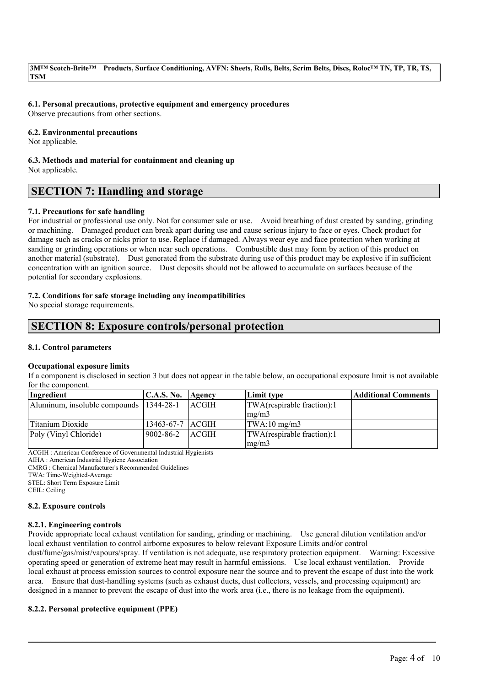### **6.1. Personal precautions, protective equipment and emergency procedures**

Observe precautions from other sections.

#### **6.2. Environmental precautions**

Not applicable.

#### **6.3. Methods and material for containment and cleaning up** Not applicable.

# **SECTION 7: Handling and storage**

### **7.1. Precautions for safe handling**

For industrial or professional use only. Not for consumer sale or use. Avoid breathing of dust created by sanding, grinding or machining. Damaged product can break apart during use and cause serious injury to face or eyes. Check product for damage such as cracks or nicks prior to use. Replace if damaged. Always wear eye and face protection when working at sanding or grinding operations or when near such operations. Combustible dust may form by action of this product on another material (substrate). Dust generated from the substrate during use of this product may be explosive if in sufficient concentration with an ignition source. Dust deposits should not be allowed to accumulate on surfaces because of the potential for secondary explosions.

### **7.2. Conditions for safe storage including any incompatibilities**

No special storage requirements.

# **SECTION 8: Exposure controls/personal protection**

### **8.1. Control parameters**

### **Occupational exposure limits**

If a component is disclosed in section 3 but does not appear in the table below, an occupational exposure limit is not available for the component.

| Ingredient                                | <b>C.A.S. No.</b>  | Agency       | Limit type                    | <b>Additional Comments</b> |
|-------------------------------------------|--------------------|--------------|-------------------------------|----------------------------|
| Aluminum, insoluble compounds   1344-28-1 |                    | <b>ACGIH</b> | TWA(respirable fraction):1    |                            |
|                                           |                    |              | $\left \frac{mg}{m^2}\right $ |                            |
| Titanium Dioxide                          | 13463-67-7   ACGIH |              | $\text{TWA}:10 \text{ mg/m3}$ |                            |
| Poly (Vinyl Chloride)                     | $ 9002 - 86 - 2 $  | <b>ACGIH</b> | TWA(respirable fraction):1    |                            |
|                                           |                    |              | $\text{Im} \Omega / \text{m}$ |                            |

ACGIH : American Conference of Governmental Industrial Hygienists

AIHA : American Industrial Hygiene Association

CMRG : Chemical Manufacturer's Recommended Guidelines

TWA: Time-Weighted-Average

STEL: Short Term Exposure Limit

CEIL: Ceiling

### **8.2. Exposure controls**

### **8.2.1. Engineering controls**

Provide appropriate local exhaust ventilation for sanding, grinding or machining. Use general dilution ventilation and/or local exhaust ventilation to control airborne exposures to below relevant Exposure Limits and/or control dust/fume/gas/mist/vapours/spray. If ventilation is not adequate, use respiratory protection equipment. Warning: Excessive operating speed or generation of extreme heat may result in harmful emissions. Use local exhaust ventilation. Provide local exhaust at process emission sources to control exposure near the source and to prevent the escape of dust into the work area. Ensure that dust-handling systems (such as exhaust ducts, dust collectors, vessels, and processing equipment) are designed in a manner to prevent the escape of dust into the work area (i.e., there is no leakage from the equipment).

 $\mathcal{L}_\mathcal{L} = \mathcal{L}_\mathcal{L} = \mathcal{L}_\mathcal{L} = \mathcal{L}_\mathcal{L} = \mathcal{L}_\mathcal{L} = \mathcal{L}_\mathcal{L} = \mathcal{L}_\mathcal{L} = \mathcal{L}_\mathcal{L} = \mathcal{L}_\mathcal{L} = \mathcal{L}_\mathcal{L} = \mathcal{L}_\mathcal{L} = \mathcal{L}_\mathcal{L} = \mathcal{L}_\mathcal{L} = \mathcal{L}_\mathcal{L} = \mathcal{L}_\mathcal{L} = \mathcal{L}_\mathcal{L} = \mathcal{L}_\mathcal{L}$ 

### **8.2.2. Personal protective equipment (PPE)**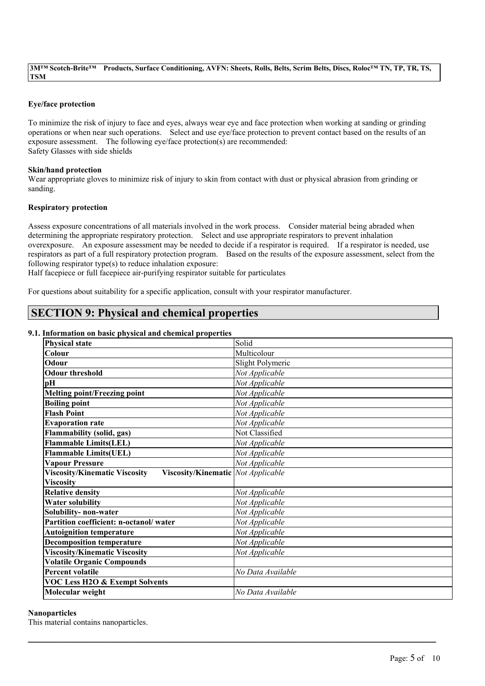### **Eye/face protection**

To minimize the risk of injury to face and eyes, always wear eye and face protection when working at sanding or grinding operations or when near such operations. Select and use eye/face protection to prevent contact based on the results of an exposure assessment. The following eye/face protection(s) are recommended: Safety Glasses with side shields

### **Skin/hand protection**

Wear appropriate gloves to minimize risk of injury to skin from contact with dust or physical abrasion from grinding or sanding.

### **Respiratory protection**

Assess exposure concentrations of all materials involved in the work process. Consider material being abraded when determining the appropriate respiratory protection. Select and use appropriate respirators to prevent inhalation overexposure. An exposure assessment may be needed to decide if a respirator is required. If a respirator is needed, use respirators as part of a full respiratory protection program. Based on the results of the exposure assessment, select from the following respirator type(s) to reduce inhalation exposure:

Half facepiece or full facepiece air-purifying respirator suitable for particulates

For questions about suitability for a specific application, consult with your respirator manufacturer.

# **SECTION 9: Physical and chemical properties**

### **9.1. Information on basic physical and chemical properties**

| нгогикион он важ рнужаг ана сисинсаг ргорегисэ                                    |                   |
|-----------------------------------------------------------------------------------|-------------------|
| <b>Physical state</b>                                                             | Solid             |
| <b>Colour</b>                                                                     | Multicolour       |
| Odour                                                                             | Slight Polymeric  |
| <b>Odour threshold</b>                                                            | Not Applicable    |
| pН                                                                                | Not Applicable    |
| <b>Melting point/Freezing point</b>                                               | Not Applicable    |
| <b>Boiling point</b>                                                              | Not Applicable    |
| <b>Flash Point</b>                                                                | Not Applicable    |
| <b>Evaporation rate</b>                                                           | Not Applicable    |
| <b>Flammability (solid, gas)</b>                                                  | Not Classified    |
| <b>Flammable Limits(LEL)</b>                                                      | Not Applicable    |
| <b>Flammable Limits(UEL)</b>                                                      | Not Applicable    |
| <b>Vapour Pressure</b>                                                            | Not Applicable    |
| <b>Viscosity/Kinematic Viscosity</b><br><b>Viscosity/Kinematic</b> Not Applicable |                   |
| <b>Viscosity</b>                                                                  |                   |
| <b>Relative density</b>                                                           | Not Applicable    |
| <b>Water solubility</b>                                                           | Not Applicable    |
| Solubility- non-water                                                             | Not Applicable    |
| Partition coefficient: n-octanol/water                                            | Not Applicable    |
| <b>Autoignition temperature</b>                                                   | Not Applicable    |
| <b>Decomposition temperature</b>                                                  | Not Applicable    |
| <b>Viscosity/Kinematic Viscosity</b>                                              | Not Applicable    |
| <b>Volatile Organic Compounds</b>                                                 |                   |
| <b>Percent volatile</b>                                                           | No Data Available |
| <b>VOC Less H2O &amp; Exempt Solvents</b>                                         |                   |
| Molecular weight                                                                  | No Data Available |

 $\mathcal{L}_\mathcal{L} = \mathcal{L}_\mathcal{L} = \mathcal{L}_\mathcal{L} = \mathcal{L}_\mathcal{L} = \mathcal{L}_\mathcal{L} = \mathcal{L}_\mathcal{L} = \mathcal{L}_\mathcal{L} = \mathcal{L}_\mathcal{L} = \mathcal{L}_\mathcal{L} = \mathcal{L}_\mathcal{L} = \mathcal{L}_\mathcal{L} = \mathcal{L}_\mathcal{L} = \mathcal{L}_\mathcal{L} = \mathcal{L}_\mathcal{L} = \mathcal{L}_\mathcal{L} = \mathcal{L}_\mathcal{L} = \mathcal{L}_\mathcal{L}$ 

### **Nanoparticles**

This material contains nanoparticles.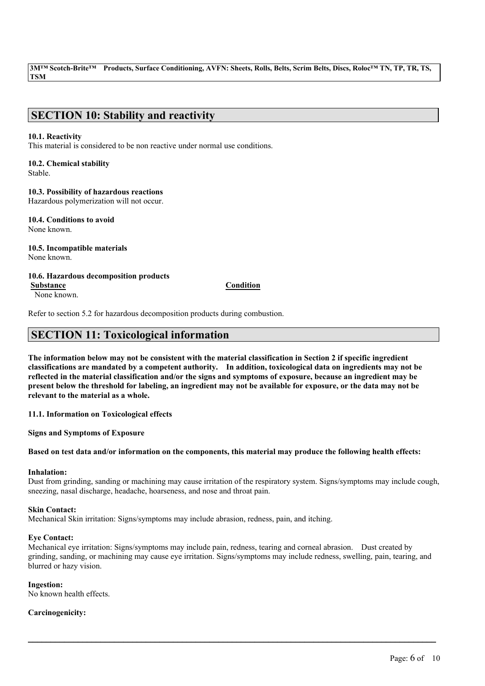# **SECTION 10: Stability and reactivity**

### **10.1. Reactivity**

This material is considered to be non reactive under normal use conditions.

# **10.2. Chemical stability**

Stable.

### **10.3. Possibility of hazardous reactions**

Hazardous polymerization will not occur.

**10.4. Conditions to avoid** None known.

**10.5. Incompatible materials** None known.

**10.6. Hazardous decomposition products Substance Condition**

None known.

Refer to section 5.2 for hazardous decomposition products during combustion.

# **SECTION 11: Toxicological information**

The information below may not be consistent with the material classification in Section 2 if specific ingredient **classifications are mandated by a competent authority. In addition, toxicological data on ingredients may not be** reflected in the material classification and/or the signs and symptoms of exposure, because an ingredient may be present below the threshold for labeling, an ingredient may not be available for exposure, or the data may not be **relevant to the material as a whole.**

**11.1. Information on Toxicological effects**

**Signs and Symptoms of Exposure**

### Based on test data and/or information on the components, this material may produce the following health effects:

### **Inhalation:**

Dust from grinding, sanding or machining may cause irritation of the respiratory system. Signs/symptoms may include cough, sneezing, nasal discharge, headache, hoarseness, and nose and throat pain.

### **Skin Contact:**

Mechanical Skin irritation: Signs/symptoms may include abrasion, redness, pain, and itching.

### **Eye Contact:**

Mechanical eye irritation: Signs/symptoms may include pain, redness, tearing and corneal abrasion. Dust created by grinding, sanding, or machining may cause eye irritation. Signs/symptoms may include redness, swelling, pain, tearing, and blurred or hazy vision.

 $\mathcal{L}_\mathcal{L} = \mathcal{L}_\mathcal{L} = \mathcal{L}_\mathcal{L} = \mathcal{L}_\mathcal{L} = \mathcal{L}_\mathcal{L} = \mathcal{L}_\mathcal{L} = \mathcal{L}_\mathcal{L} = \mathcal{L}_\mathcal{L} = \mathcal{L}_\mathcal{L} = \mathcal{L}_\mathcal{L} = \mathcal{L}_\mathcal{L} = \mathcal{L}_\mathcal{L} = \mathcal{L}_\mathcal{L} = \mathcal{L}_\mathcal{L} = \mathcal{L}_\mathcal{L} = \mathcal{L}_\mathcal{L} = \mathcal{L}_\mathcal{L}$ 

### **Ingestion:**

No known health effects.

### **Carcinogenicity:**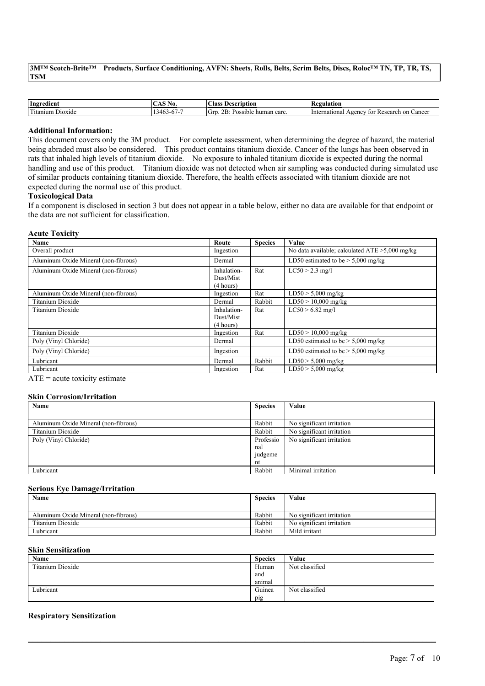3M<sup>TM</sup> Scotch-Brite<sup>TM</sup> Products, Surface Conditioning, AVFN: Sheets, Rolls, Belts, Scrim Belts, Discs, Roloc<sup>TM</sup> TN, TP, TR, TS, **TSM**

| Ingredient                                          | AO.<br>$\lambda$  | $\sim$<br>Alass.<br>Description                         | Regulation                                                                   |
|-----------------------------------------------------|-------------------|---------------------------------------------------------|------------------------------------------------------------------------------|
| Letter <sup>2</sup><br>$\sim$<br>Dioxide<br>itanium | (10)<br>$5 - 1 -$ | $\sim$ $\sim$<br>lGrr<br>^ T<br>human carc.<br>Possible | mational<br>. on<br>Cancer<br>Research<br>A <sub>genc</sub><br>Interi<br>toi |

#### **Additional Information:**

This document covers only the 3M product. For complete assessment, when determining the degree of hazard, the material being abraded must also be considered. This product contains titanium dioxide. Cancer of the lungs has been observed in rats that inhaled high levels of titanium dioxide. No exposure to inhaled titanium dioxide is expected during the normal handling and use of this product. Titanium dioxide was not detected when air sampling was conducted during simulated use of similar products containing titanium dioxide. Therefore, the health effects associated with titanium dioxide are not expected during the normal use of this product.

### **Toxicological Data**

If a component is disclosed in section 3 but does not appear in a table below, either no data are available for that endpoint or the data are not sufficient for classification.

#### **Acute Toxicity**

| Name                                 | Route                                 | <b>Species</b> | Value                                             |
|--------------------------------------|---------------------------------------|----------------|---------------------------------------------------|
| Overall product                      | Ingestion                             |                | No data available; calculated $ATE > 5,000$ mg/kg |
| Aluminum Oxide Mineral (non-fibrous) | Dermal                                |                | LD50 estimated to be $>$ 5,000 mg/kg              |
| Aluminum Oxide Mineral (non-fibrous) | Inhalation-<br>Dust/Mist<br>(4 hours) | Rat            | $LC50 > 2.3$ mg/l                                 |
| Aluminum Oxide Mineral (non-fibrous) | Ingestion                             | Rat            | $LD50 > 5,000$ mg/kg                              |
| Titanium Dioxide                     | Dermal                                | Rabbit         | $LD50 > 10,000$ mg/kg                             |
| Titanium Dioxide                     | Inhalation-<br>Dust/Mist<br>(4 hours) | Rat            | $LC50 > 6.82$ mg/l                                |
| <b>Titanium Dioxide</b>              | Ingestion                             | Rat            | $LD50 > 10,000$ mg/kg                             |
| Poly (Vinyl Chloride)                | Dermal                                |                | LD50 estimated to be $>$ 5,000 mg/kg              |
| Poly (Vinyl Chloride)                | Ingestion                             |                | LD50 estimated to be $> 5,000$ mg/kg              |
| Lubricant                            | Dermal                                | Rabbit         | $LD50 > 5,000$ mg/kg                              |
| Lubricant                            | Ingestion                             | Rat            | $LD50 > 5,000$ mg/kg                              |

ATE = acute toxicity estimate

### **Skin Corrosion/Irritation**

| Name                                 | <b>Species</b> | Value                     |
|--------------------------------------|----------------|---------------------------|
|                                      |                |                           |
| Aluminum Oxide Mineral (non-fibrous) | Rabbit         | No significant irritation |
| Titanium Dioxide                     | Rabbit         | No significant irritation |
| Poly (Vinyl Chloride)                | Professio      | No significant irritation |
|                                      | nal            |                           |
|                                      | judgeme        |                           |
|                                      | nt             |                           |
| Lubricant                            | Rabbit         | Minimal irritation        |

#### **Serious Eye Damage/Irritation**

| Name                                 | <b>Species</b> | Value                     |
|--------------------------------------|----------------|---------------------------|
| Aluminum Oxide Mineral (non-fibrous) | Rabbit         | No significant irritation |
| Titanium Dioxide                     | Rabbit         | No significant irritation |
| Lubricant                            | Rabbit         | Mild irritant             |

### **Skin Sensitization**

| <b>Name</b>      | <b>Species</b> | Value          |
|------------------|----------------|----------------|
| Titanium Dioxide | Human          | Not classified |
|                  | and            |                |
|                  | animal         |                |
| Lubricant        | Guinea         | Not classified |
|                  | pig            |                |

 $\mathcal{L}_\mathcal{L} = \mathcal{L}_\mathcal{L} = \mathcal{L}_\mathcal{L} = \mathcal{L}_\mathcal{L} = \mathcal{L}_\mathcal{L} = \mathcal{L}_\mathcal{L} = \mathcal{L}_\mathcal{L} = \mathcal{L}_\mathcal{L} = \mathcal{L}_\mathcal{L} = \mathcal{L}_\mathcal{L} = \mathcal{L}_\mathcal{L} = \mathcal{L}_\mathcal{L} = \mathcal{L}_\mathcal{L} = \mathcal{L}_\mathcal{L} = \mathcal{L}_\mathcal{L} = \mathcal{L}_\mathcal{L} = \mathcal{L}_\mathcal{L}$ 

### **Respiratory Sensitization**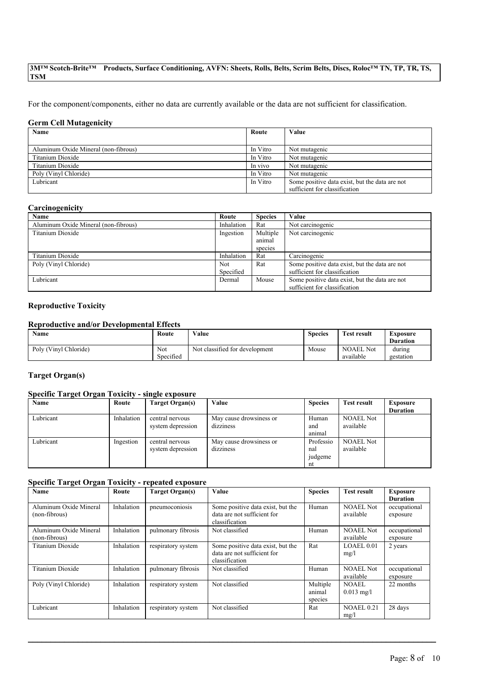For the component/components, either no data are currently available or the data are not sufficient for classification.

### **Germ Cell Mutagenicity**

| Name                                 | Route    | Value                                          |
|--------------------------------------|----------|------------------------------------------------|
|                                      |          |                                                |
| Aluminum Oxide Mineral (non-fibrous) | In Vitro | Not mutagenic                                  |
| Titanium Dioxide                     | In Vitro | Not mutagenic                                  |
| Titanium Dioxide                     | In vivo  | Not mutagenic                                  |
| Poly (Vinyl Chloride)                | In Vitro | Not mutagenic                                  |
| Lubricant                            | In Vitro | Some positive data exist, but the data are not |
|                                      |          | sufficient for classification                  |

### **Carcinogenicity**

| Name                                 | Route      | <b>Species</b> | Value                                          |
|--------------------------------------|------------|----------------|------------------------------------------------|
| Aluminum Oxide Mineral (non-fibrous) | Inhalation | Rat            | Not carcinogenic                               |
| Titanium Dioxide                     | Ingestion  | Multiple       | Not carcinogenic                               |
|                                      |            | animal         |                                                |
|                                      |            | species        |                                                |
| Titanium Dioxide                     | Inhalation | Rat            | Carcinogenic                                   |
| Poly (Vinyl Chloride)                | <b>Not</b> | Rat            | Some positive data exist, but the data are not |
|                                      | Specified  |                | sufficient for classification                  |
| Lubricant                            | Dermal     | Mouse          | Some positive data exist, but the data are not |
|                                      |            |                | sufficient for classification                  |

### **Reproductive Toxicity**

### **Reproductive and/or Developmental Effects**

| <b>Name</b>           | Route     | Value                          | <b>Species</b> | <b>Test result</b> | Exposure        |
|-----------------------|-----------|--------------------------------|----------------|--------------------|-----------------|
|                       |           |                                |                |                    | <b>Duration</b> |
| Poly (Vinyl Chloride) | Not       | Not classified for development | Mouse          | <b>NOAEL Not</b>   | during          |
|                       | Specified |                                |                | available          | gestation       |

### **Target Organ(s)**

### **Specific Target Organ Toxicity - single exposure**

| Name      | Route      | Target Organ(s)   | Value                   | <b>Species</b> | Test result      | <b>Exposure</b> |
|-----------|------------|-------------------|-------------------------|----------------|------------------|-----------------|
|           |            |                   |                         |                |                  | <b>Duration</b> |
| Lubricant | Inhalation | central nervous   | May cause drowsiness or | Human          | <b>NOAEL Not</b> |                 |
|           |            | system depression | dizziness               | and            | available        |                 |
|           |            |                   |                         | animal         |                  |                 |
| Lubricant | Ingestion  | central nervous   | May cause drowsiness or | Professio      | <b>NOAEL Not</b> |                 |
|           |            | system depression | dizziness               | nal            | available        |                 |
|           |            |                   |                         | judgeme        |                  |                 |
|           |            |                   |                         | nt             |                  |                 |

### **Specific Target Organ Toxicity - repeated exposure**

| <b>Name</b>                             | Route      | <b>Target Organ(s)</b> | Value                                                                              | <b>Species</b>                | <b>Test result</b>            | <b>Exposure</b><br><b>Duration</b> |
|-----------------------------------------|------------|------------------------|------------------------------------------------------------------------------------|-------------------------------|-------------------------------|------------------------------------|
| Aluminum Oxide Mineral<br>(non-fibrous) | Inhalation | pneumoconiosis         | Some positive data exist, but the<br>data are not sufficient for<br>classification | Human                         | <b>NOAEL Not</b><br>available | occupational<br>exposure           |
| Aluminum Oxide Mineral<br>(non-fibrous) | Inhalation | pulmonary fibrosis     | Not classified                                                                     | Human                         | <b>NOAEL Not</b><br>available | occupational<br>exposure           |
| Titanium Dioxide                        | Inhalation | respiratory system     | Some positive data exist, but the<br>data are not sufficient for<br>classification | Rat                           | LOAEL 0.01<br>mg/l            | 2 years                            |
| Titanium Dioxide                        | Inhalation | pulmonary fibrosis     | Not classified                                                                     | Human                         | <b>NOAEL Not</b><br>available | occupational<br>exposure           |
| Poly (Vinyl Chloride)                   | Inhalation | respiratory system     | Not classified                                                                     | Multiple<br>animal<br>species | <b>NOAEL</b><br>$0.013$ mg/l  | 22 months                          |
| Lubricant                               | Inhalation | respiratory system     | Not classified                                                                     | Rat                           | NOAEL 0.21<br>mg/l            | 28 days                            |

 $\mathcal{L}_\mathcal{L} = \mathcal{L}_\mathcal{L} = \mathcal{L}_\mathcal{L} = \mathcal{L}_\mathcal{L} = \mathcal{L}_\mathcal{L} = \mathcal{L}_\mathcal{L} = \mathcal{L}_\mathcal{L} = \mathcal{L}_\mathcal{L} = \mathcal{L}_\mathcal{L} = \mathcal{L}_\mathcal{L} = \mathcal{L}_\mathcal{L} = \mathcal{L}_\mathcal{L} = \mathcal{L}_\mathcal{L} = \mathcal{L}_\mathcal{L} = \mathcal{L}_\mathcal{L} = \mathcal{L}_\mathcal{L} = \mathcal{L}_\mathcal{L}$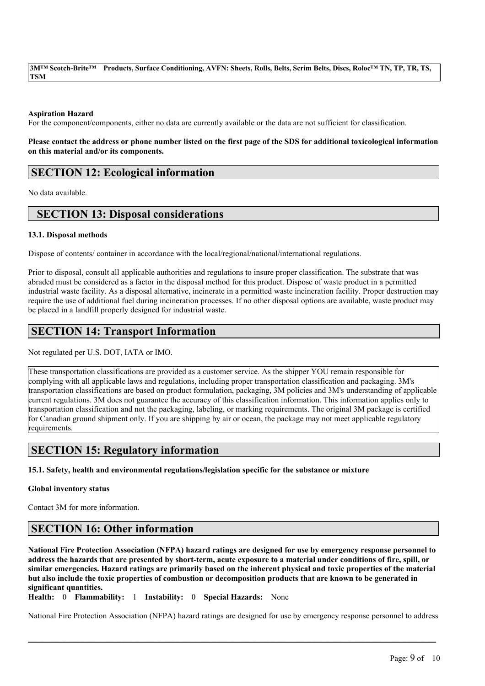### **Aspiration Hazard**

For the component/components, either no data are currently available or the data are not sufficient for classification.

Please contact the address or phone number listed on the first page of the SDS for additional toxicological information **on this material and/or its components.**

## **SECTION 12: Ecological information**

No data available.

## **SECTION 13: Disposal considerations**

### **13.1. Disposal methods**

Dispose of contents/ container in accordance with the local/regional/national/international regulations.

Prior to disposal, consult all applicable authorities and regulations to insure proper classification. The substrate that was abraded must be considered as a factor in the disposal method for this product. Dispose of waste product in a permitted industrial waste facility. As a disposal alternative, incinerate in a permitted waste incineration facility. Proper destruction may require the use of additional fuel during incineration processes. If no other disposal options are available, waste product may be placed in a landfill properly designed for industrial waste.

# **SECTION 14: Transport Information**

Not regulated per U.S. DOT, IATA or IMO.

These transportation classifications are provided as a customer service. As the shipper YOU remain responsible for complying with all applicable laws and regulations, including proper transportation classification and packaging. 3M's transportation classifications are based on product formulation, packaging, 3M policies and 3M's understanding of applicable current regulations. 3M does not guarantee the accuracy of this classification information. This information applies only to transportation classification and not the packaging, labeling, or marking requirements. The original 3M package is certified for Canadian ground shipment only. If you are shipping by air or ocean, the package may not meet applicable regulatory requirements.

## **SECTION 15: Regulatory information**

**15.1. Safety, health and environmental regulations/legislation specific for the substance or mixture**

### **Global inventory status**

Contact 3M for more information.

## **SECTION 16: Other information**

National Fire Protection Association (NFPA) hazard ratings are designed for use by emergency response personnel to address the hazards that are presented by short-term, acute exposure to a material under conditions of fire, spill, or similar emergencies. Hazard ratings are primarily based on the inherent physical and toxic properties of the material but also include the toxic properties of combustion or decomposition products that are known to be generated in **significant quantities.**

**Health:** 0 **Flammability:** 1 **Instability:** 0 **Special Hazards:** None

National Fire Protection Association (NFPA) hazard ratings are designed for use by emergency response personnel to address

 $\mathcal{L}_\mathcal{L} = \mathcal{L}_\mathcal{L} = \mathcal{L}_\mathcal{L} = \mathcal{L}_\mathcal{L} = \mathcal{L}_\mathcal{L} = \mathcal{L}_\mathcal{L} = \mathcal{L}_\mathcal{L} = \mathcal{L}_\mathcal{L} = \mathcal{L}_\mathcal{L} = \mathcal{L}_\mathcal{L} = \mathcal{L}_\mathcal{L} = \mathcal{L}_\mathcal{L} = \mathcal{L}_\mathcal{L} = \mathcal{L}_\mathcal{L} = \mathcal{L}_\mathcal{L} = \mathcal{L}_\mathcal{L} = \mathcal{L}_\mathcal{L}$